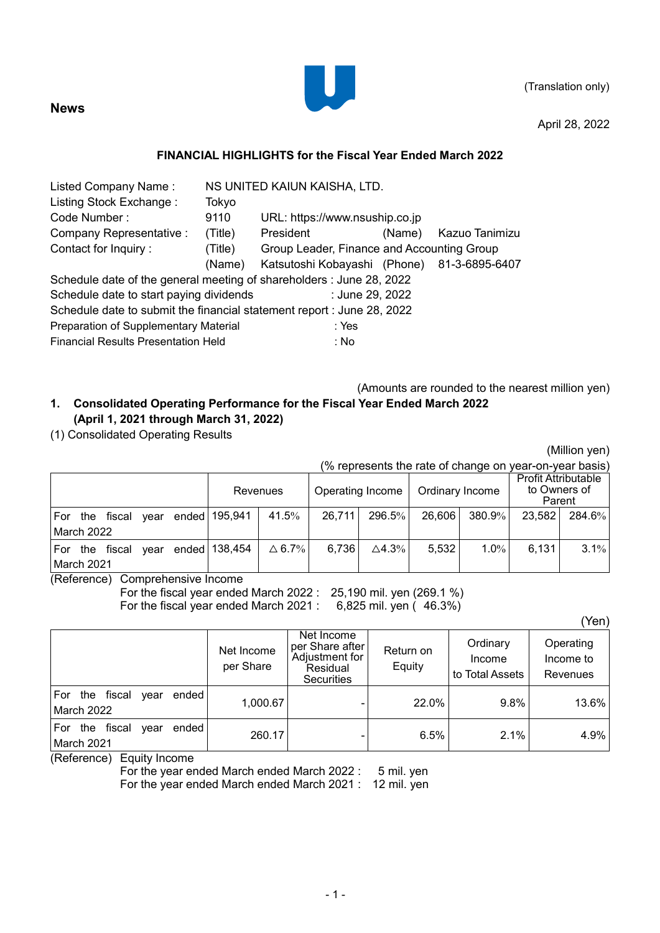

April 28, 2022

### **FINANCIAL HIGHLIGHTS for the Fiscal Year Ended March 2022**

| Listed Company Name:                                                   | NS UNITED KAIUN KAISHA, LTD. |                                            |        |                |  |  |  |  |
|------------------------------------------------------------------------|------------------------------|--------------------------------------------|--------|----------------|--|--|--|--|
| Listing Stock Exchange:                                                | Tokyo                        |                                            |        |                |  |  |  |  |
| Code Number:                                                           | 9110                         | URL: https://www.nsuship.co.jp             |        |                |  |  |  |  |
| Company Representative :                                               | (Title)                      | President                                  | (Name) | Kazuo Tanimizu |  |  |  |  |
| Contact for Inquiry:                                                   | (Title)                      | Group Leader, Finance and Accounting Group |        |                |  |  |  |  |
|                                                                        | (Name)                       | Katsutoshi Kobayashi (Phone)               |        | 81-3-6895-6407 |  |  |  |  |
| Schedule date of the general meeting of shareholders : June 28, 2022   |                              |                                            |        |                |  |  |  |  |
| Schedule date to start paying dividends                                |                              | : June 29, 2022                            |        |                |  |  |  |  |
| Schedule date to submit the financial statement report : June 28, 2022 |                              |                                            |        |                |  |  |  |  |
| Preparation of Supplementary Material                                  |                              | : Yes                                      |        |                |  |  |  |  |
| <b>Financial Results Presentation Held</b>                             |                              | : No                                       |        |                |  |  |  |  |
|                                                                        |                              |                                            |        |                |  |  |  |  |

(Amounts are rounded to the nearest million yen)

# **1. Consolidated Operating Performance for the Fiscal Year Ended March 2022 (April 1, 2021 through March 31, 2022)**

(1) Consolidated Operating Results

**News**

(Million yen)

|            | (% represents the rate of change on year-on-year basis) |                      |  |  |                               |                  |        |                                     |        |                                                      |        |        |
|------------|---------------------------------------------------------|----------------------|--|--|-------------------------------|------------------|--------|-------------------------------------|--------|------------------------------------------------------|--------|--------|
|            |                                                         |                      |  |  | Revenues                      |                  |        | Ordinary Income<br>Operating Income |        | <b>Profit Attributable</b><br>to Owners of<br>Parent |        |        |
| For        |                                                         |                      |  |  | the fiscal year ended 195,941 | 41.5%            | 26,711 | $296.5\%$                           | 26,606 | 380.9%                                               | 23,582 | 284.6% |
|            | March 2022                                              |                      |  |  |                               |                  |        |                                     |        |                                                      |        |        |
|            |                                                         | lFor the fiscal vear |  |  | ended 138,454                 | $\triangle$ 6.7% | 6,736  | $\triangle 4.3\%$                   | 5,532  | $1.0\%$                                              | 6.131  | 3.1%   |
| March 2021 |                                                         |                      |  |  |                               |                  |        |                                     |        |                                                      |        |        |

(Reference) Comprehensive Income

For the fiscal year ended March 2022 : 25,190 mil. yen (269.1 %) For the fiscal year ended March 2021 : 6,825 mil. yen (46.3%)

(Yen)

|                                                            | Net Income<br>per Share | Net Income<br>per Share after<br>Adjustment for<br>Residual<br><b>Securities</b> | Return on<br>Equity | Ordinary<br>Income<br>to Total Assets | Operating<br>Income to<br>Revenues |
|------------------------------------------------------------|-------------------------|----------------------------------------------------------------------------------|---------------------|---------------------------------------|------------------------------------|
| fiscal<br>ended<br>For<br>the<br>year<br><b>March 2022</b> | 1,000.67                |                                                                                  | 22.0%               | 9.8%                                  | 13.6%                              |
| ended<br>For<br>fiscal<br>the<br>vear<br>March 2021        | 260.17                  |                                                                                  | 6.5%                | 2.1%                                  | 4.9%                               |

(Reference) Equity Income

For the year ended March ended March 2022 : 5 mil. yen

For the year ended March ended March 2021 : 12 mil. yen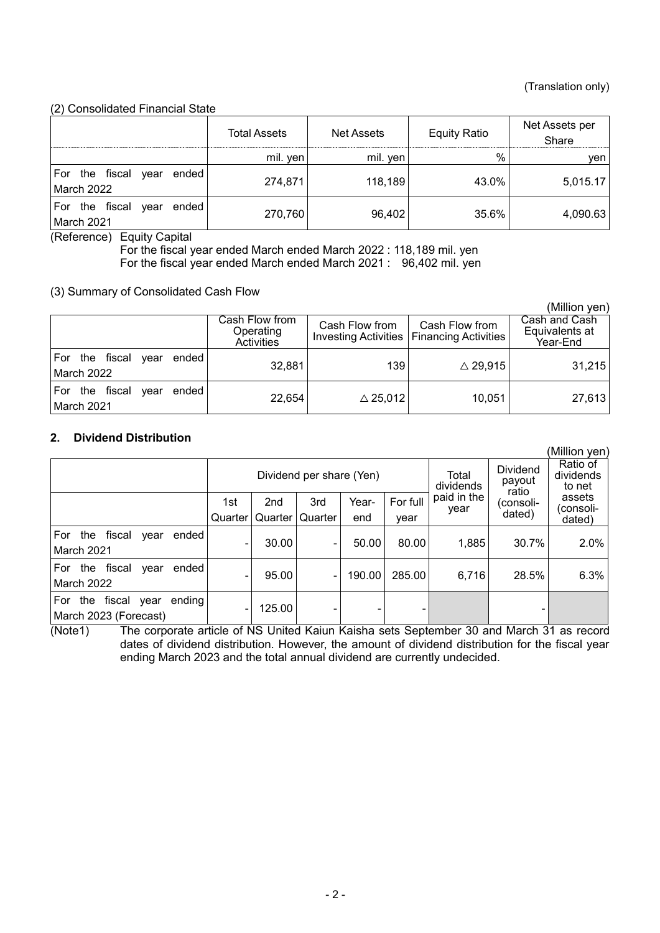(Million yen)

#### (2) Consolidated Financial State

| $\epsilon$ of $\epsilon$ . The condition of $\epsilon$ is the control of $\epsilon$ |                     |                   |                     |                         |
|-------------------------------------------------------------------------------------|---------------------|-------------------|---------------------|-------------------------|
|                                                                                     | <b>Total Assets</b> | <b>Net Assets</b> | <b>Equity Ratio</b> | Net Assets per<br>Share |
|                                                                                     | mil. yen            | mil. yen          | $\%$                | yen                     |
| For the fiscal<br>ended l<br>vear<br>March 2022                                     | 274,871             | 118,189           | 43.0%               | 5,015.17                |
| For the fiscal<br>ended l<br>vear<br>March 2021                                     | 270,760             | 96,402            | 35.6%               | 4,090.63                |

(Reference) Equity Capital

For the fiscal year ended March ended March 2022 : 118,189 mil. yen For the fiscal year ended March ended March 2021 : 96,402 mil. yen

(3) Summary of Consolidated Cash Flow

|                                                    |                                           |                    |                                                               | (Million yen)                               |
|----------------------------------------------------|-------------------------------------------|--------------------|---------------------------------------------------------------|---------------------------------------------|
|                                                    | Cash Flow from<br>Operating<br>Activities | Cash Flow from     | Cash Flow from<br>Investing Activities   Financing Activities | Cash and Cash<br>Equivalents at<br>Year-End |
| the fiscal<br>For<br>ended l<br>vear<br>March 2022 | 32,881                                    | 139                | $\triangle$ 29,915                                            | 31,215                                      |
| the fiscal<br>ended l<br>For<br>vear<br>March 2021 | 22,654                                    | $\triangle$ 25,012 | 10,051                                                        | 27,613                                      |

### **2. Dividend Distribution**

|                                                                 |         |        |                          |        |          |                     |                                    | (Million yen)                   |
|-----------------------------------------------------------------|---------|--------|--------------------------|--------|----------|---------------------|------------------------------------|---------------------------------|
|                                                                 |         |        | Dividend per share (Yen) |        |          | Total<br>dividends  | <b>Dividend</b><br>payout<br>ratio | Ratio of<br>dividends<br>to net |
|                                                                 | 1st     | 2nd    | 3rd                      | Year-  | For full | paid in the<br>year | (consoli-                          | assets<br>(consoli-             |
|                                                                 | Quarter |        | Quarter   Quarter        | end    | year     |                     | dated)                             | dated)                          |
| For<br>the<br>fiscal<br>ended<br>vear<br>March 2021             | ۰       | 30.00  | ٠                        | 50.00  | 80.00    | 1,885               | 30.7%                              | 2.0%                            |
| fiscal<br>For<br>ended<br>the<br>year<br>March 2022             | ۰       | 95.00  |                          | 190.00 | 285.00   | 6,716               | 28.5%                              | 6.3%                            |
| fiscal<br>ending<br>For<br>the<br>vear<br>March 2023 (Forecast) |         | 125.00 |                          | ٠      |          |                     |                                    |                                 |

(Note1) The corporate article of NS United Kaiun Kaisha sets September 30 and March 31 as record dates of dividend distribution. However, the amount of dividend distribution for the fiscal year ending March 2023 and the total annual dividend are currently undecided.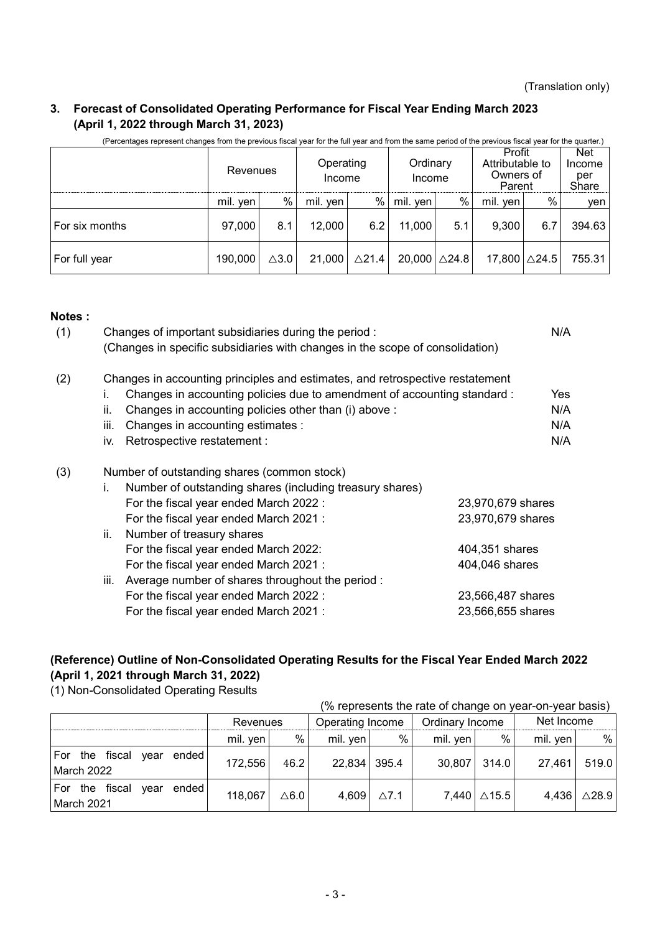## **3. Forecast of Consolidated Operating Performance for Fiscal Year Ending March 2023 (April 1, 2022 through March 31, 2023)**

|                | Revenues |                 | Operating<br>Income |                  | Ordinary<br>Income        |      | Profit<br>Attributable to<br>Owners of<br>Parent |     |        | Net<br>Income<br>per<br>Share |
|----------------|----------|-----------------|---------------------|------------------|---------------------------|------|--------------------------------------------------|-----|--------|-------------------------------|
|                | mil. yen | $\%$            | mil. yen            | %                | mil. yen                  | $\%$ | mil. yen                                         | %   | ven    |                               |
| For six months | 97,000   | 8.1             | 12,000              | 6.2              | 11,000                    | 5.1  | 9,300                                            | 6.7 | 394.63 |                               |
| For full year  | 190,000  | $\triangle 3.0$ | 21,000              | $\triangle$ 21.4 | $20,000$ $\triangle$ 24.8 |      | 17,800 ∆24.5                                     |     | 755.31 |                               |

(Percentages represent changes from the previous fiscal year for the full year and from the same period of the previous fiscal year for the quarter.)

#### **Notes :**

| (1) | Changes of important subsidiaries during the period:<br>(Changes in specific subsidiaries with changes in the scope of consolidation) |                   | N/A |
|-----|---------------------------------------------------------------------------------------------------------------------------------------|-------------------|-----|
| (2) | Changes in accounting principles and estimates, and retrospective restatement                                                         |                   |     |
|     | Changes in accounting policies due to amendment of accounting standard :<br>İ.                                                        |                   | Yes |
|     | Changes in accounting policies other than (i) above :<br>ii.                                                                          |                   | N/A |
|     | Changes in accounting estimates :<br>iii.                                                                                             |                   | N/A |
|     | Retrospective restatement :<br>iv.                                                                                                    |                   | N/A |
| (3) | Number of outstanding shares (common stock)                                                                                           |                   |     |
|     | Number of outstanding shares (including treasury shares)<br>i.                                                                        |                   |     |
|     | For the fiscal year ended March 2022 :                                                                                                | 23,970,679 shares |     |
|     | For the fiscal year ended March 2021:                                                                                                 | 23,970,679 shares |     |
|     | ii.<br>Number of treasury shares                                                                                                      |                   |     |
|     | For the fiscal year ended March 2022:                                                                                                 | 404,351 shares    |     |
|     | For the fiscal year ended March 2021:                                                                                                 | 404,046 shares    |     |
|     | iii.<br>Average number of shares throughout the period :                                                                              |                   |     |
|     | For the fiscal year ended March 2022 :                                                                                                | 23,566,487 shares |     |
|     | For the fiscal year ended March 2021:                                                                                                 | 23,566,655 shares |     |
|     |                                                                                                                                       |                   |     |

## **(Reference) Outline of Non-Consolidated Operating Results for the Fiscal Year Ended March 2022 (April 1, 2021 through March 31, 2022)**

(1) Non-Consolidated Operating Results

|                                                 |          |          |              |                  | (% represents the rate of change on year-on-year basis) |                 |            |                  |
|-------------------------------------------------|----------|----------|--------------|------------------|---------------------------------------------------------|-----------------|------------|------------------|
|                                                 |          | Revenues |              | Operating Income |                                                         | Ordinary Income | Net Income |                  |
|                                                 | mil. yen | %        | mil. yen $ $ | %                | mil. yen                                                | %               | mil. yen   | %                |
| For the fiscal year<br>ended  <br>March 2022    | 172,556  | 46.2     | 22,834 395.4 |                  | 30,807                                                  | 314.0           | 27,461     | 519.0            |
| For the fiscal<br>ended l<br>vear<br>March 2021 | 118,067  | ∆6.0     | 4,609        | $\Delta$ 7.1     |                                                         | 7,440 ∆15.5     | 4,436      | $\triangle$ 28.9 |